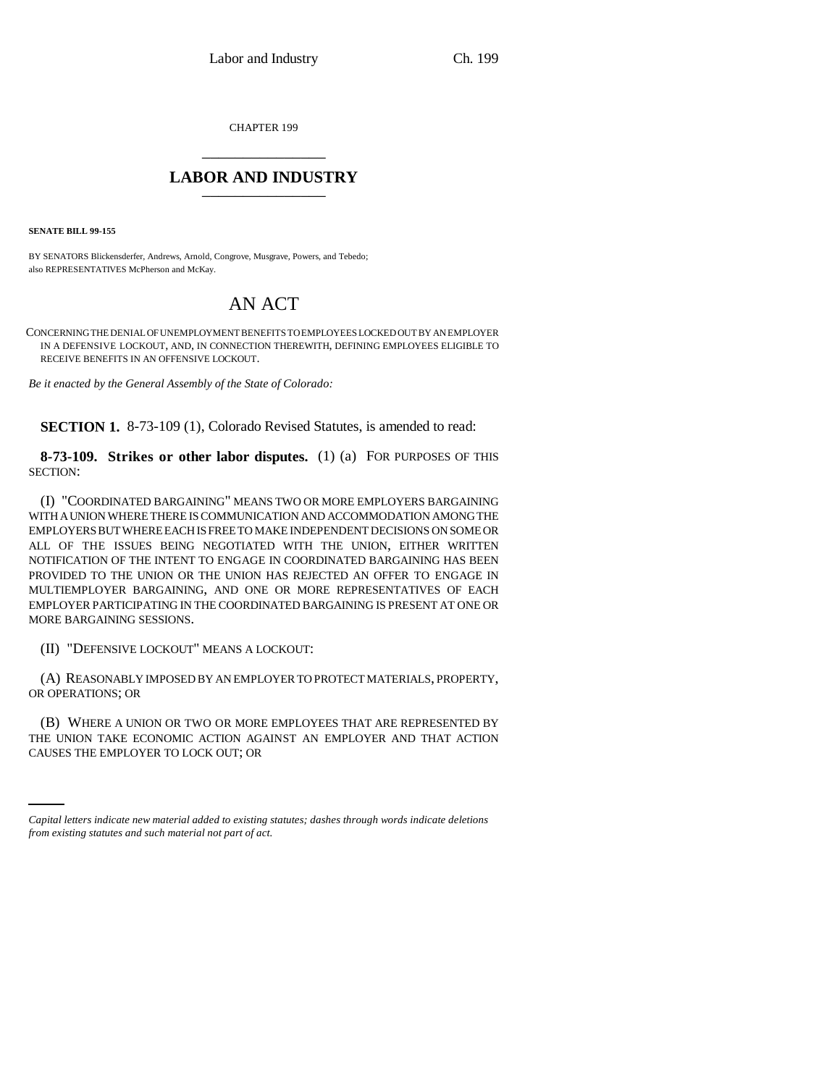CHAPTER 199 \_\_\_\_\_\_\_\_\_\_\_\_\_\_\_

## **LABOR AND INDUSTRY** \_\_\_\_\_\_\_\_\_\_\_\_\_\_\_

**SENATE BILL 99-155** 

BY SENATORS Blickensderfer, Andrews, Arnold, Congrove, Musgrave, Powers, and Tebedo; also REPRESENTATIVES McPherson and McKay.

## AN ACT

CONCERNING THE DENIAL OF UNEMPLOYMENT BENEFITS TO EMPLOYEES LOCKED OUT BY AN EMPLOYER IN A DEFENSIVE LOCKOUT, AND, IN CONNECTION THEREWITH, DEFINING EMPLOYEES ELIGIBLE TO RECEIVE BENEFITS IN AN OFFENSIVE LOCKOUT.

*Be it enacted by the General Assembly of the State of Colorado:*

**SECTION 1.** 8-73-109 (1), Colorado Revised Statutes, is amended to read:

**8-73-109. Strikes or other labor disputes.** (1) (a) FOR PURPOSES OF THIS SECTION:

(I) "COORDINATED BARGAINING" MEANS TWO OR MORE EMPLOYERS BARGAINING WITH A UNION WHERE THERE IS COMMUNICATION AND ACCOMMODATION AMONG THE EMPLOYERS BUT WHERE EACH IS FREE TO MAKE INDEPENDENT DECISIONS ON SOME OR ALL OF THE ISSUES BEING NEGOTIATED WITH THE UNION, EITHER WRITTEN NOTIFICATION OF THE INTENT TO ENGAGE IN COORDINATED BARGAINING HAS BEEN PROVIDED TO THE UNION OR THE UNION HAS REJECTED AN OFFER TO ENGAGE IN MULTIEMPLOYER BARGAINING, AND ONE OR MORE REPRESENTATIVES OF EACH EMPLOYER PARTICIPATING IN THE COORDINATED BARGAINING IS PRESENT AT ONE OR MORE BARGAINING SESSIONS.

(II) "DEFENSIVE LOCKOUT" MEANS A LOCKOUT:

(A) REASONABLY IMPOSED BY AN EMPLOYER TO PROTECT MATERIALS, PROPERTY, OR OPERATIONS; OR

THE UNION TAKE ECONOMIC ACTION AGAINST AN EMPLOYER AND THAT ACTION (B) WHERE A UNION OR TWO OR MORE EMPLOYEES THAT ARE REPRESENTED BY CAUSES THE EMPLOYER TO LOCK OUT; OR

*Capital letters indicate new material added to existing statutes; dashes through words indicate deletions from existing statutes and such material not part of act.*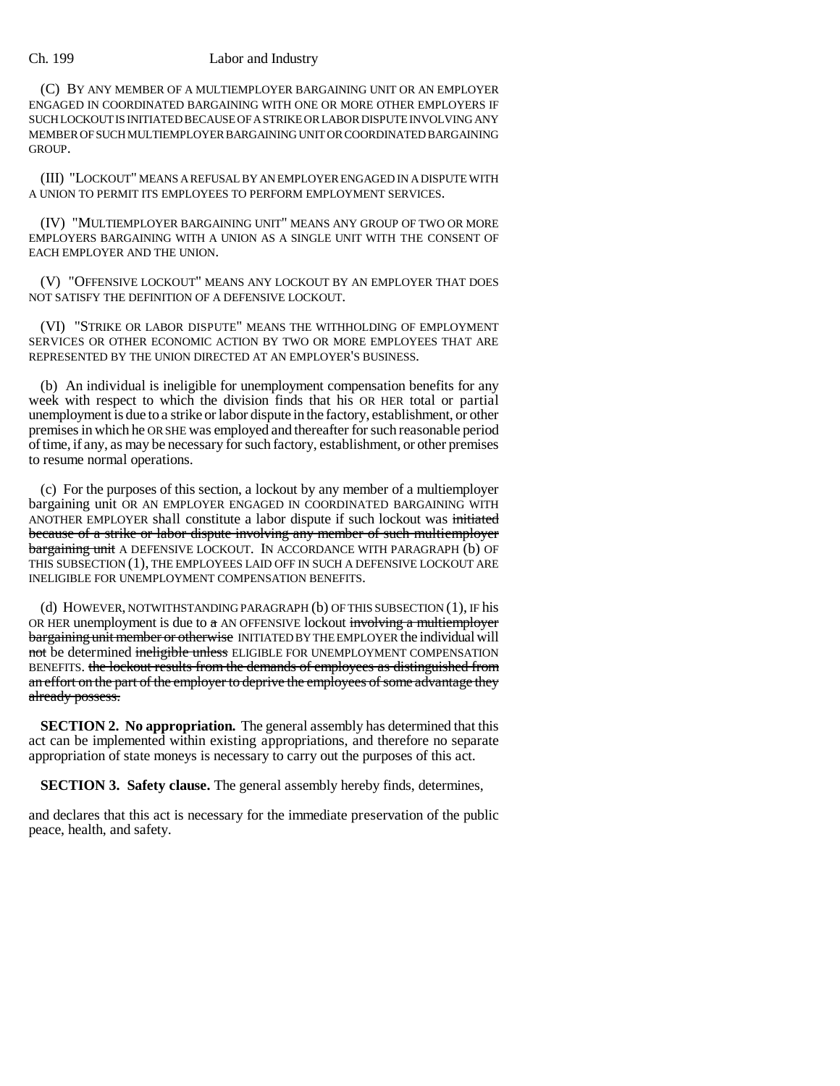## Ch. 199 Labor and Industry

(C) BY ANY MEMBER OF A MULTIEMPLOYER BARGAINING UNIT OR AN EMPLOYER ENGAGED IN COORDINATED BARGAINING WITH ONE OR MORE OTHER EMPLOYERS IF SUCH LOCKOUT IS INITIATED BECAUSE OF A STRIKE OR LABOR DISPUTE INVOLVING ANY MEMBER OF SUCH MULTIEMPLOYER BARGAINING UNIT OR COORDINATED BARGAINING GROUP.

(III) "LOCKOUT" MEANS A REFUSAL BY AN EMPLOYER ENGAGED IN A DISPUTE WITH A UNION TO PERMIT ITS EMPLOYEES TO PERFORM EMPLOYMENT SERVICES.

(IV) "MULTIEMPLOYER BARGAINING UNIT" MEANS ANY GROUP OF TWO OR MORE EMPLOYERS BARGAINING WITH A UNION AS A SINGLE UNIT WITH THE CONSENT OF EACH EMPLOYER AND THE UNION.

(V) "OFFENSIVE LOCKOUT" MEANS ANY LOCKOUT BY AN EMPLOYER THAT DOES NOT SATISFY THE DEFINITION OF A DEFENSIVE LOCKOUT.

(VI) "STRIKE OR LABOR DISPUTE" MEANS THE WITHHOLDING OF EMPLOYMENT SERVICES OR OTHER ECONOMIC ACTION BY TWO OR MORE EMPLOYEES THAT ARE REPRESENTED BY THE UNION DIRECTED AT AN EMPLOYER'S BUSINESS.

(b) An individual is ineligible for unemployment compensation benefits for any week with respect to which the division finds that his OR HER total or partial unemployment is due to a strike or labor dispute in the factory, establishment, or other premises in which he OR SHE was employed and thereafter for such reasonable period of time, if any, as may be necessary for such factory, establishment, or other premises to resume normal operations.

(c) For the purposes of this section, a lockout by any member of a multiemployer bargaining unit OR AN EMPLOYER ENGAGED IN COORDINATED BARGAINING WITH ANOTHER EMPLOYER shall constitute a labor dispute if such lockout was initiated because of a strike or labor dispute involving any member of such multiemployer bargaining unit A DEFENSIVE LOCKOUT. IN ACCORDANCE WITH PARAGRAPH (b) OF THIS SUBSECTION (1), THE EMPLOYEES LAID OFF IN SUCH A DEFENSIVE LOCKOUT ARE INELIGIBLE FOR UNEMPLOYMENT COMPENSATION BENEFITS.

(d) HOWEVER, NOTWITHSTANDING PARAGRAPH (b) OF THIS SUBSECTION (1), IF his OR HER unemployment is due to  $\alpha$  AN OFFENSIVE lockout involving a multiemployer bargaining unit member or otherwise INITIATED BY THE EMPLOYER the individual will not be determined ineligible unless ELIGIBLE FOR UNEMPLOYMENT COMPENSATION BENEFITS. the lockout results from the demands of employees as distinguished from an effort on the part of the employer to deprive the employees of some advantage they already possess.

**SECTION 2. No appropriation.** The general assembly has determined that this act can be implemented within existing appropriations, and therefore no separate appropriation of state moneys is necessary to carry out the purposes of this act.

**SECTION 3. Safety clause.** The general assembly hereby finds, determines,

and declares that this act is necessary for the immediate preservation of the public peace, health, and safety.